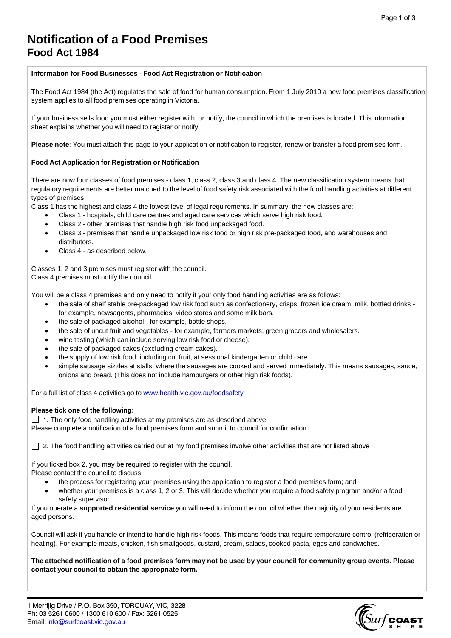# **Notification of a Food Premises Food Act 1984**

## **Information for Food Businesses - Food Act Registration or Notification**

The Food Act 1984 (the Act) regulates the sale of food for human consumption. From 1 July 2010 a new food premises classification system applies to all food premises operating in Victoria.

If your business sells food you must either register with, or notify, the council in which the premises is located. This information sheet explains whether you will need to register or notify.

**Please note**: You must attach this page to your application or notification to register, renew or transfer a food premises form.

### **Food Act Application for Registration or Notification**

There are now four classes of food premises - class 1, class 2, class 3 and class 4. The new classification system means that regulatory requirements are better matched to the level of food safety risk associated with the food handling activities at different types of premises.

Class 1 has the highest and class 4 the lowest level of legal requirements. In summary, the new classes are:

- Class 1 hospitals, child care centres and aged care services which serve high risk food.
- Class 2 other premises that handle high risk food unpackaged food.
- Class 3 premises that handle unpackaged low risk food or high risk pre-packaged food, and warehouses and distributors.
- Class 4 as described below.

Classes 1, 2 and 3 premises must register with the council. Class 4 premises must notify the council.

You will be a class 4 premises and only need to notify if your only food handling activities are as follows:

- the sale of shelf stable pre-packaged low risk food such as confectionery, crisps, frozen ice cream, milk, bottled drinks for example, newsagents, pharmacies, video stores and some milk bars.
- the sale of packaged alcohol for example, bottle shops.
- the sale of uncut fruit and vegetables for example, farmers markets, green grocers and wholesalers.
- wine tasting (which can include serving low risk food or cheese).
- the sale of packaged cakes (excluding cream cakes).
- the supply of low risk food, including cut fruit, at sessional kindergarten or child care.
- simple sausage sizzles at stalls, where the sausages are cooked and served immediately. This means sausages, sauce, onions and bread. (This does not include hamburgers or other high risk foods).

For a full list of class 4 activities go to [www.health.vic.gov.au/foodsafety](http://www.health.vic.gov.au/foodsafety)

#### **Please tick one of the following:**

 $\Box$  1. The only food handling activities at my premises are as described above.

Please complete a notification of a food premises form and submit to council for confirmation.

 $\Box$  2. The food handling activities carried out at my food premises involve other activities that are not listed above

If you ticked box 2, you may be required to register with the council.

- Please contact the council to discuss:
	- the process for registering your premises using the application to register a food premises form; and
	- whether your premises is a class 1, 2 or 3. This will decide whether you require a food safety program and/or a food safety supervisor

If you operate a **supported residential service** you will need to inform the council whether the majority of your residents are aged persons.

Council will ask if you handle or intend to handle high risk foods. This means foods that require temperature control (refrigeration or heating). For example meats, chicken, fish smallgoods, custard, cream, salads, cooked pasta, eggs and sandwiches.

The attached notification of a food premises form may not be used by your council for community group events. Please **contact your council to obtain the appropriate form.**

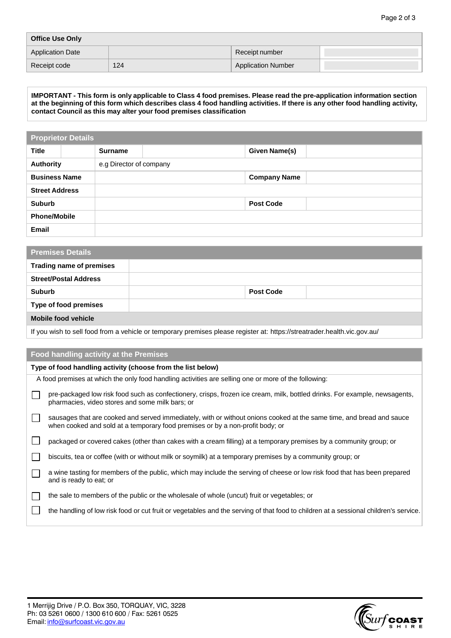| <b>Office Use Only</b>  |     |                           |  |  |
|-------------------------|-----|---------------------------|--|--|
| <b>Application Date</b> |     | Receipt number            |  |  |
| Receipt code            | 124 | <b>Application Number</b> |  |  |

IMPORTANT - This form is only applicable to Class 4 food premises. Please read the pre-application information section at the beginning of this form which describes class 4 food handling activities. If there is any other food handling activity, **contact Council as this may alter your food premises classification**

| <b>Proprietor Details</b> |  |                         |  |                     |  |
|---------------------------|--|-------------------------|--|---------------------|--|
| <b>Title</b>              |  | <b>Surname</b>          |  | Given Name(s)       |  |
| <b>Authority</b>          |  | e.g Director of company |  |                     |  |
| <b>Business Name</b>      |  |                         |  | <b>Company Name</b> |  |
| <b>Street Address</b>     |  |                         |  |                     |  |
| <b>Suburb</b>             |  |                         |  | <b>Post Code</b>    |  |
| <b>Phone/Mobile</b>       |  |                         |  |                     |  |
| <b>Email</b>              |  |                         |  |                     |  |

| <b>Premises Details</b>         |                  |  |  |  |
|---------------------------------|------------------|--|--|--|
| <b>Trading name of premises</b> |                  |  |  |  |
| <b>Street/Postal Address</b>    |                  |  |  |  |
| <b>Suburb</b>                   | <b>Post Code</b> |  |  |  |
| <b>Type of food premises</b>    |                  |  |  |  |
| <b>Mobile food vehicle</b>      |                  |  |  |  |

If you wish to sell food from a vehicle or temporary premises please register at: https://streatrader.health.vic.gov.au/

## **Food handling activity at the Premises**

| Type of food handling activity (choose from the list below) |                                                                                                                                                                                                       |  |
|-------------------------------------------------------------|-------------------------------------------------------------------------------------------------------------------------------------------------------------------------------------------------------|--|
|                                                             | A food premises at which the only food handling activities are selling one or more of the following:                                                                                                  |  |
|                                                             | pre-packaged low risk food such as confectionery, crisps, frozen ice cream, milk, bottled drinks. For example, newsagents,<br>pharmacies, video stores and some milk bars; or                         |  |
|                                                             | sausages that are cooked and served immediately, with or without onions cooked at the same time, and bread and sauce<br>when cooked and sold at a temporary food premises or by a non-profit body; or |  |
|                                                             | packaged or covered cakes (other than cakes with a cream filling) at a temporary premises by a community group; or                                                                                    |  |
|                                                             | biscuits, tea or coffee (with or without milk or soymilk) at a temporary premises by a community group; or                                                                                            |  |
|                                                             | a wine tasting for members of the public, which may include the serving of cheese or low risk food that has been prepared<br>and is ready to eat; or                                                  |  |
|                                                             | the sale to members of the public or the wholesale of whole (uncut) fruit or vegetables; or                                                                                                           |  |
|                                                             | the handling of low risk food or cut fruit or vegetables and the serving of that food to children at a sessional children's service.                                                                  |  |
|                                                             |                                                                                                                                                                                                       |  |